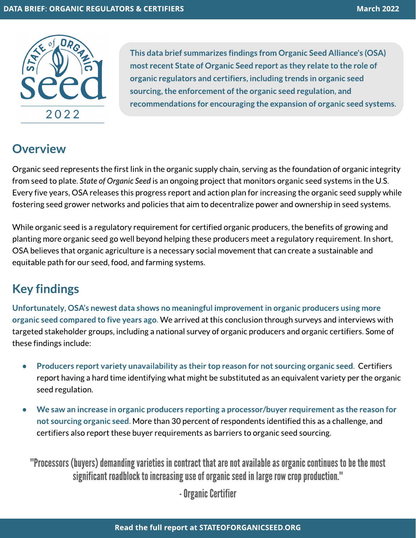

This data brief summarizes findings from Organic Seed Alliance's (OSA) most recent State of Organic Seed report as they relate to the role of organic regulators and certifiers, including trends in organic seed sourcing, the enforcement of the organic seed regulation, and recommendations for encouraging the expansion of organic seed systems.

## **Overview**

Organic seed represents the first link in the organic supply chain, serving as the foundation of organic integrity from seed to plate.**Stateof OrganicSeed**isan ongoing project that monitorsorganic seed systems in the U.S. Every five years, OSA releases this progress report and action plan for increasing the organic seed supply while fostering seed grower networks and policies that aim to decentralize power and ownership in seed systems.

While organic seed is a regulatory requirement for certified organic producers, the benefits of growing and planting more organic seed go well beyond helping these producers meet a regulatory requirement. In short, OSA believes that organic agriculture is a necessary social movement that can create a sustainable and equitable path for our seed, food, and farming systems.

## Key findings

Unfortunately, OSA's newest data shows no meaningful improvement in organic producers using more organic seed compared to five years ago. We arrived at this conclusion through surveys and interviews with targeted stakeholder groups, including a national survey of organic producers and organic certifiers. Some of these findings include:

- Producers report variety unavailability as their top reason for not sourcing organic seed. Certifiers report having a hard time identifying what might be substituted as an equivalent variety per the organic seed regulation.
- We saw an increase in organic producers reporting a processor/buyer requirement as the reason for not sourcing organic seed. More than 30 percent of respondents identified this as a challenge, and certifiers also report these buyer requirements as barriers to organic seed sourcing.

"Processors (buyers) demanding varieties in contract that are not available as organic continues to be the most significant roadblock to increasing use of organic seed in large row crop production."

- Organic Certifier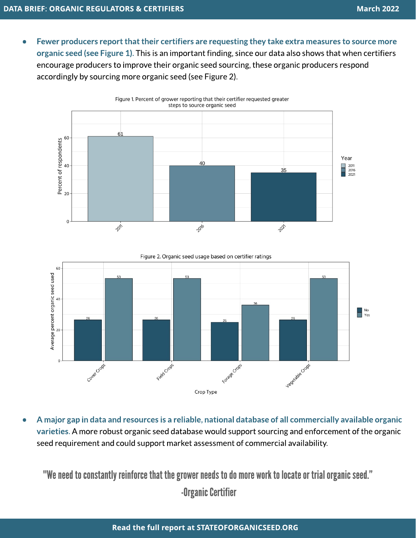Fewer producers report that their certifiers are requesting they take extra measures to source more organic seed (see Figure 1). This is an important finding, since our data also shows that when certifiers encourage producers to improve their organic seed sourcing, these organic producers respond accordingly by sourcing more organic seed (see Figure 2).



Figure 2. Organic seed usage based on certifier ratings



A major gap in data and resources is a reliable, national database of all commercially available organic varieties.A more robust organic seed database would support sourcing and enforcement of the organic seed requirement and could support market assessment of commercial availability.

"We need to constantly reinforce that the grower needs to do more work to locate or trial organic seed."

-Organic Certifier